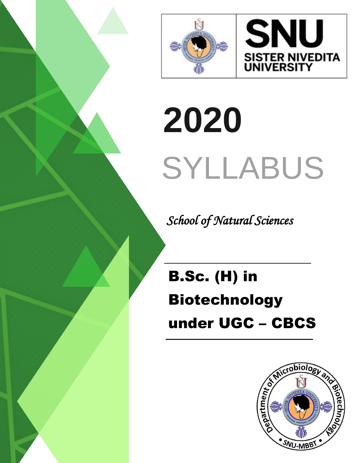



# **2020** SYLLABUS

 *School of Natural Sciences*

B.Sc. (H) in Biotechnology under UGC – CBCS

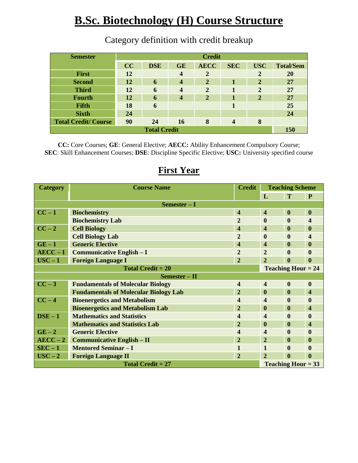## **B.Sc. Biotechnology (H) Course Structure**

| <b>Semester</b>            | <b>Credit</b> |            |                         |                |            |              |                  |
|----------------------------|---------------|------------|-------------------------|----------------|------------|--------------|------------------|
|                            | CC            | <b>DSE</b> | <b>GE</b>               | <b>AECC</b>    | <b>SEC</b> | <b>USC</b>   | <b>Total/Sem</b> |
| <b>First</b>               | 12            |            | $\boldsymbol{4}$        | $\overline{2}$ |            | 2            | <b>20</b>        |
| <b>Second</b>              | 12            | 6          | $\boldsymbol{4}$        | $\mathbf{2}$   |            | $\mathbf{2}$ | 27               |
| <b>Third</b>               | 12            | 6          | $\overline{\mathbf{4}}$ | $\overline{2}$ | 1          | $\mathbf{2}$ | 27               |
| <b>Fourth</b>              | 12            | 6          | $\boldsymbol{4}$        | $\overline{2}$ |            | $\mathbf{2}$ | 27               |
| <b>Fifth</b>               | 18            | 6          |                         |                | 1          |              | 25               |
| <b>Sixth</b>               | 24            |            |                         |                |            |              | 24               |
| <b>Total Credit/Course</b> | 90            | 24         | <b>16</b>               | 8              |            | 8            |                  |
| <b>Total Credit</b>        |               |            |                         |                |            |              | <b>150</b>       |

### Category definition with credit breakup

**CC:** Core Courses; **GE**: General Elective; **AECC:** Ability Enhancement Compulsory Course; **SEC**: Skill Enhancement Courses; **DSE**: Discipline Specific Elective; **USC:** University specified course

#### **First Year**

| <b>Category</b>          | <b>Course Name</b>                           | <b>Credit</b>           | <b>Teaching Scheme</b>    |                  |                         |  |
|--------------------------|----------------------------------------------|-------------------------|---------------------------|------------------|-------------------------|--|
|                          |                                              |                         | L                         | T                | P                       |  |
| $Semester-I$             |                                              |                         |                           |                  |                         |  |
| $CC-1$                   | <b>Biochemistry</b>                          | $\overline{\mathbf{4}}$ | $\overline{\mathbf{4}}$   | $\bf{0}$         | $\boldsymbol{0}$        |  |
|                          | <b>Biochemistry Lab</b>                      | $\overline{2}$          | $\mathbf{0}$              | $\bf{0}$         | $\overline{\mathbf{4}}$ |  |
| $CC-2$                   | <b>Cell Biology</b>                          | $\overline{\mathbf{4}}$ | $\overline{\mathbf{4}}$   | $\bf{0}$         | $\boldsymbol{0}$        |  |
|                          | <b>Cell Biology Lab</b>                      | $\overline{2}$          | $\mathbf{0}$              | $\mathbf{0}$     | 4                       |  |
| $GE-1$                   | <b>Generic Elective</b>                      | 4                       | 4                         | $\mathbf{0}$     | $\bf{0}$                |  |
| $AECC-1$                 | <b>Communicative English - I</b>             | $\overline{2}$          | $\overline{2}$            | $\bf{0}$         | 0                       |  |
| $USC - 1$                | <b>Foreign Language I</b>                    | $\overline{2}$          | $\overline{2}$            | $\mathbf{0}$     | 0                       |  |
| <b>Total Credit = 20</b> |                                              |                         | <b>Teaching Hour = 24</b> |                  |                         |  |
| $Semester - II$          |                                              |                         |                           |                  |                         |  |
| $CC-3$                   | <b>Fundamentals of Molecular Biology</b>     | 4                       | $\overline{\mathbf{4}}$   | $\boldsymbol{0}$ | $\bf{0}$                |  |
|                          | <b>Fundamentals of Molecular Biology Lab</b> | $\overline{2}$          | $\bf{0}$                  | $\bf{0}$         | $\overline{\mathbf{4}}$ |  |
| $CC-4$                   | <b>Bioenergetics and Metabolism</b>          | 4                       | $\overline{\mathbf{4}}$   | $\mathbf{0}$     | $\bf{0}$                |  |
|                          | <b>Bioenergetics and Metabolism Lab</b>      | $\overline{2}$          | $\mathbf{0}$              | $\mathbf{0}$     | 4                       |  |
| $DSE - 1$                | <b>Mathematics and Statistics</b>            | 4                       | $\overline{\mathbf{4}}$   | $\boldsymbol{0}$ | $\bf{0}$                |  |
|                          | <b>Mathematics and Statistics Lab</b>        | $\overline{2}$          | $\mathbf{0}$              | $\mathbf{0}$     | 4                       |  |
| $GE-2$                   | <b>Generic Elective</b>                      | 4                       | $\overline{\mathbf{4}}$   | $\boldsymbol{0}$ | $\bf{0}$                |  |
| $AECC-2$                 | <b>Communicative English – II</b>            | $\overline{2}$          | $\overline{2}$            | $\boldsymbol{0}$ | $\bf{0}$                |  |
| $SEC-1$                  | <b>Mentored Seminar - I</b>                  |                         | 1                         | $\mathbf{0}$     | $\bf{0}$                |  |
| $USC - 2$                | <b>Foreign Language II</b>                   | $\overline{2}$          | $\overline{2}$            | $\boldsymbol{0}$ | $\mathbf{0}$            |  |
| Total Credit $= 27$      |                                              |                         | <b>Teaching Hour = 33</b> |                  |                         |  |